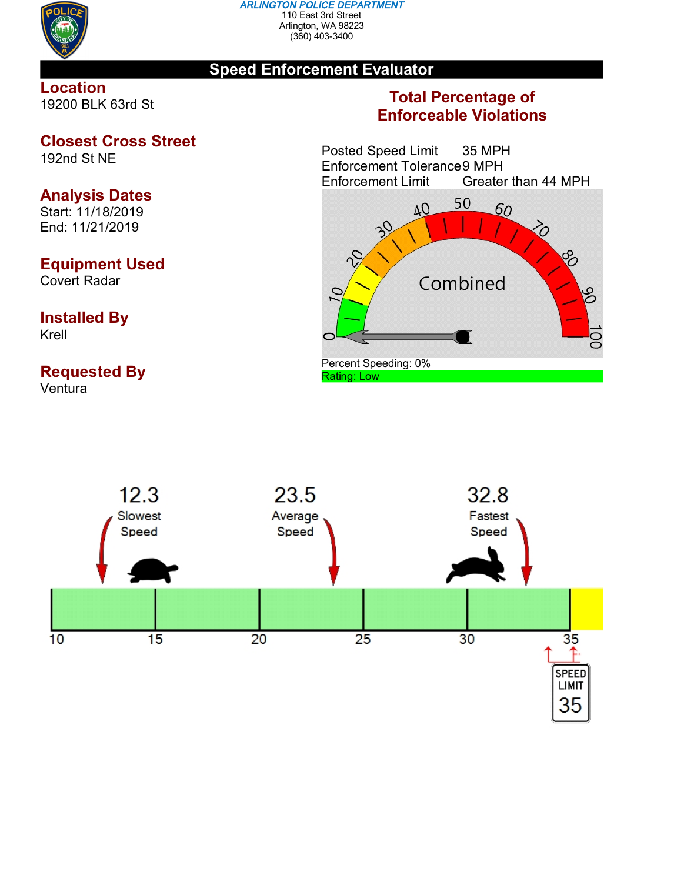

#### *ARLINGTON POLICE DEPARTMENT* 110 East 3rd Street Arlington, WA 98223 (360) 403-3400

## **Speed Enforcement Evaluator**

### **Location** 19200 BLK 63rd St

## **Closest Cross Street**

192nd St NE

# **Analysis Dates**

Start: 11/18/2019 End: 11/21/2019

## **Equipment Used**

Covert Radar

### **Installed By** Krell

# **Requested By**

Ventura

## **Total Percentage of Enforceable Violations**

Posted Speed Limit 35 MPH Enforcement Tolerance 9 MPH<br>Enforcement Limit Greater Greater than 44 MPH